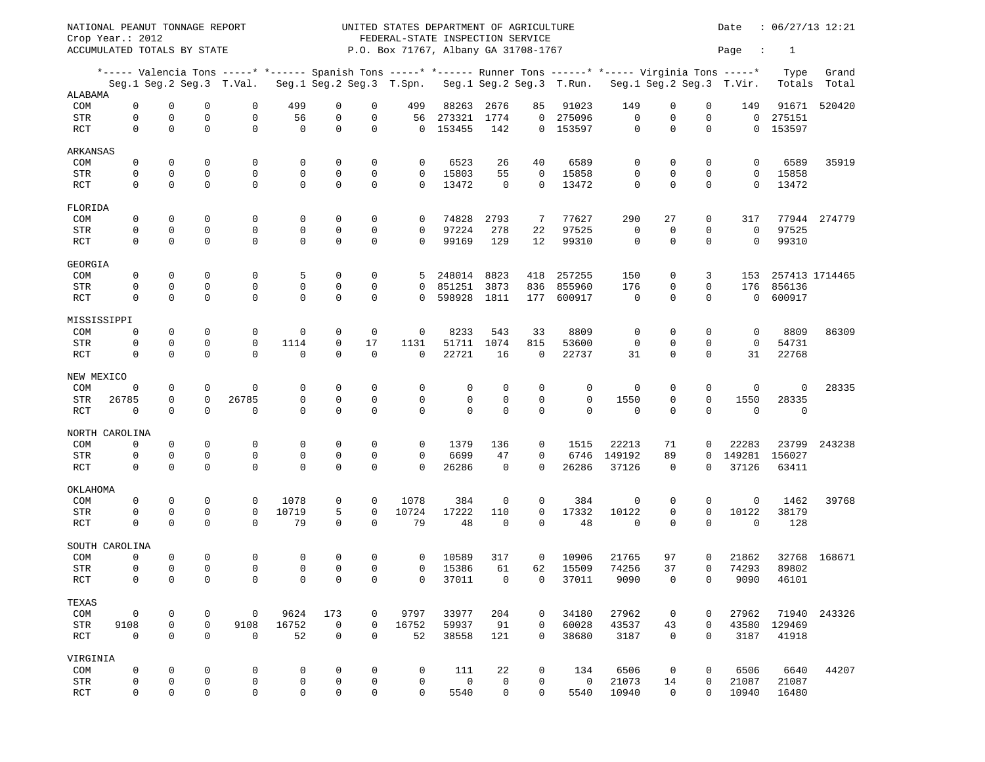NATIONAL PEANUT TONNAGE REPORT **Example 12:21** UNITED STATES DEPARTMENT OF AGRICULTURE **DEPARTMENT** OF AGRICULTURE Crop Year.: 2012 FEDERAL-STATE INSPECTION SERVICE ACCUMULATED TOTALS BY STATE  $P.O.$  Box 71767, Albany GA 31708-1767  $PAP$ \*----- Valencia Tons -----\* \*------ Spanish Tons -----\* \*------ Runner Tons ------\* \*----- Virginia Tons -----\* Type Grand Seg.1 Seg.2 Seg.3 T.Val. Seg.1 Seg.2 Seg.3 T.Spn. Seg.1 Seg.2 Seg.3 T.Run. Seg.1 Seg.2 Seg.3 T.Vir. Totals Total ALABAMA COM 0 0 0 0 499 0 0 499 88263 2676 85 91023 149 0 0 149 91671 520420 STR 0 0 0 0 56 0 0 56 273321 1774 0 275096 0 0 0 0 275151 RCT 0 0 0 0 0 0 0 0 153455 142 0 153597 0 0 0 0 153597 ARKANSAS COM 0 0 0 0 0 0 0 0 6523 26 40 6589 0 0 0 0 6589 35919 STR 0 0 0 0 0 0 0 0 15803 55 0 15858 0 0 0 0 15858 RCT 0 0 0 0 0 0 0 0 13472 0 0 13472 0 0 0 0 13472 FLORIDA COM 0 0 0 0 0 0 0 0 74828 2793 7 77627 290 27 0 317 77944 274779 STR 0 0 0 0 0 0 0 0 97224 278 22 97525 0 0 0 0 97525 RCT 0 0 0 0 0 0 0 0 99169 129 12 99310 0 0 0 0 99310 GEORGIA COM 0 0 0 0 5 0 0 5 248014 8823 418 257255 150 0 3 153 257413 1714465 STR 0 0 0 0 0 0 0 0 851251 3873 836 855960 176 0 0 176 856136 RCT 0 0 0 0 0 0 0 0 598928 1811 177 600917 0 0 0 0 600917 MISSISSIPPI COM 0 0 0 0 0 0 0 0 8233 543 33 8809 0 0 0 0 8809 86309 STR 0 0 0 0 1114 0 17 1131 51711 1074 815 53600 0 0 0 0 54731 RCT 0 0 0 0 0 0 0 0 22721 16 0 22737 31 0 0 31 22768 NEW MEXICO COM 0 0 0 0 0 0 0 0 0 0 0 0 0 0 0 0 0 28335 STR 26785 0 0 26785 0 0 0 0 0 0 0 0 1550 0 0 1550 28335 RCT 0 0 0 0 0 0 0 0 0 0 0 0 0 0 0 0 0 NORTH CAROLINA COM 0 0 0 0 0 0 0 0 1379 136 0 1515 22213 71 0 22283 23799 243238 STR 0 0 0 0 0 0 0 0 6699 47 0 6746 149192 89 0 149281 156027 RCT 0 0 0 0 0 0 0 0 26286 0 0 26286 37126 0 0 37126 63411 OKLAHOMA COM 0 0 0 0 1078 0 0 1078 384 0 0 384 0 0 0 0 1462 39768 STR 0 0 0 0 10719 5 0 10724 17222 110 0 17332 10122 0 0 10122 38179 RCT 0 0 0 0 79 0 0 79 48 0 0 48 0 0 0 0 128 SOUTH CAROLINA COM 0 0 0 0 0 0 0 0 10589 317 0 10906 21765 97 0 21862 32768 168671 STR 0 0 0 0 0 0 0 0 15386 61 62 15509 74256 37 0 74293 89802 RCT 0 0 0 0 0 0 0 0 37011 0 0 37011 9090 0 0 9090 46101 TEXAS COM 0 0 0 0 9624 173 0 9797 33977 204 0 34180 27962 0 0 27962 71940 243326 STR 9108 0 0 9108 16752 0 0 16752 59937 91 0 60028 43537 43 0 43580 129469 RCT 0 0 0 0 52 0 0 52 38558 121 0 38680 3187 0 0 3187 41918 VIRGINIA COM 0 0 0 0 0 0 0 0 111 22 0 134 6506 0 0 6506 6640 44207 STR 0 0 0 0 0 0 0 0 0 0 0 0 21073 14 0 21087 21087 RCT 0 0 0 0 0 0 0 0 5540 0 0 5540 10940 0 0 10940 16480